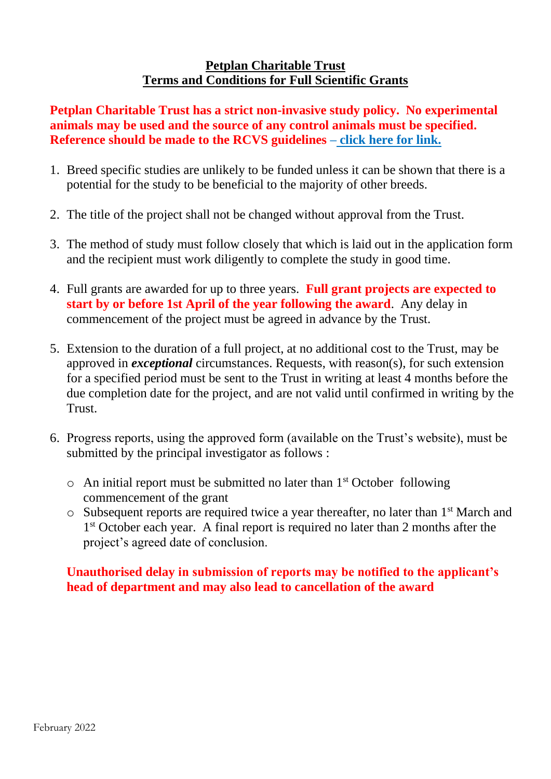## **Petplan Charitable Trust Terms and Conditions for Full Scientific Grants**

**Petplan Charitable Trust has a strict non-invasive study policy. No experimental animals may be used and the source of any control animals must be specified. Reference should be made to the RCVS guidelines – [click here for link.](https://www.rcvs.org.uk/document-library/aspa-flow-chart/)**

- 1. Breed specific studies are unlikely to be funded unless it can be shown that there is a potential for the study to be beneficial to the majority of other breeds.
- 2. The title of the project shall not be changed without approval from the Trust.
- 3. The method of study must follow closely that which is laid out in the application form and the recipient must work diligently to complete the study in good time.
- 4. Full grants are awarded for up to three years. **Full grant projects are expected to start by or before 1st April of the year following the award**. Any delay in commencement of the project must be agreed in advance by the Trust.
- 5. Extension to the duration of a full project, at no additional cost to the Trust, may be approved in *exceptional* circumstances. Requests, with reason(s), for such extension for a specified period must be sent to the Trust in writing at least 4 months before the due completion date for the project, and are not valid until confirmed in writing by the Trust.
- 6. Progress reports, using the approved form (available on the Trust's website), must be submitted by the principal investigator as follows :
	- $\circ$  An initial report must be submitted no later than 1<sup>st</sup> October following commencement of the grant
	- $\circ$  Subsequent reports are required twice a year thereafter, no later than 1<sup>st</sup> March and 1<sup>st</sup> October each year. A final report is required no later than 2 months after the project's agreed date of conclusion.

## **Unauthorised delay in submission of reports may be notified to the applicant's head of department and may also lead to cancellation of the award**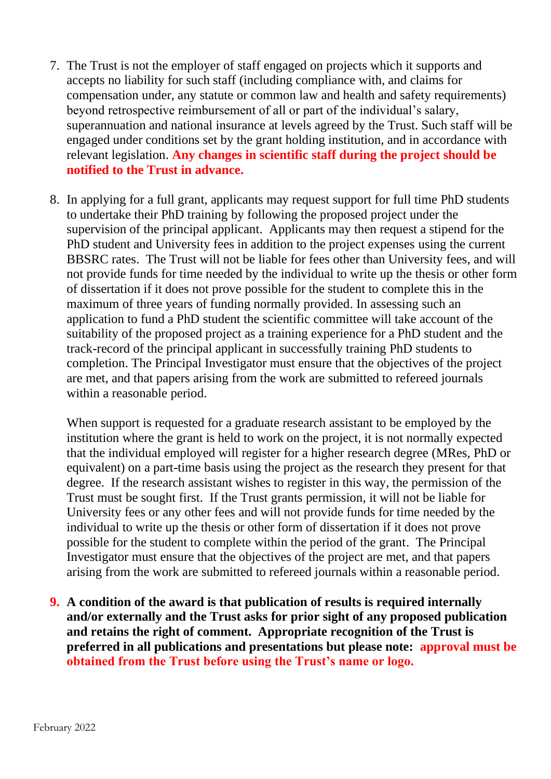- 7. The Trust is not the employer of staff engaged on projects which it supports and accepts no liability for such staff (including compliance with, and claims for compensation under, any statute or common law and health and safety requirements) beyond retrospective reimbursement of all or part of the individual's salary, superannuation and national insurance at levels agreed by the Trust. Such staff will be engaged under conditions set by the grant holding institution, and in accordance with relevant legislation. **Any changes in scientific staff during the project should be notified to the Trust in advance.**
- 8. In applying for a full grant, applicants may request support for full time PhD students to undertake their PhD training by following the proposed project under the supervision of the principal applicant. Applicants may then request a stipend for the PhD student and University fees in addition to the project expenses using the current BBSRC rates. The Trust will not be liable for fees other than University fees, and will not provide funds for time needed by the individual to write up the thesis or other form of dissertation if it does not prove possible for the student to complete this in the maximum of three years of funding normally provided. In assessing such an application to fund a PhD student the scientific committee will take account of the suitability of the proposed project as a training experience for a PhD student and the track-record of the principal applicant in successfully training PhD students to completion. The Principal Investigator must ensure that the objectives of the project are met, and that papers arising from the work are submitted to refereed journals within a reasonable period.

When support is requested for a graduate research assistant to be employed by the institution where the grant is held to work on the project, it is not normally expected that the individual employed will register for a higher research degree (MRes, PhD or equivalent) on a part-time basis using the project as the research they present for that degree. If the research assistant wishes to register in this way, the permission of the Trust must be sought first. If the Trust grants permission, it will not be liable for University fees or any other fees and will not provide funds for time needed by the individual to write up the thesis or other form of dissertation if it does not prove possible for the student to complete within the period of the grant. The Principal Investigator must ensure that the objectives of the project are met, and that papers arising from the work are submitted to refereed journals within a reasonable period.

**9. A condition of the award is that publication of results is required internally and/or externally and the Trust asks for prior sight of any proposed publication and retains the right of comment. Appropriate recognition of the Trust is preferred in all publications and presentations but please note: approval must be obtained from the Trust before using the Trust's name or logo.**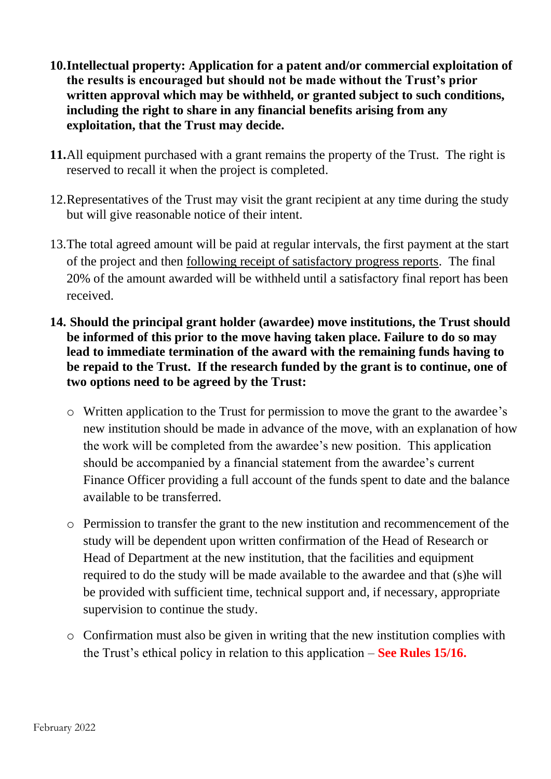- **10.Intellectual property: Application for a patent and/or commercial exploitation of the results is encouraged but should not be made without the Trust's prior written approval which may be withheld, or granted subject to such conditions, including the right to share in any financial benefits arising from any exploitation, that the Trust may decide.**
- **11.**All equipment purchased with a grant remains the property of the Trust. The right is reserved to recall it when the project is completed.
- 12.Representatives of the Trust may visit the grant recipient at any time during the study but will give reasonable notice of their intent.
- 13.The total agreed amount will be paid at regular intervals, the first payment at the start of the project and then following receipt of satisfactory progress reports. The final 20% of the amount awarded will be withheld until a satisfactory final report has been received.
- **14. Should the principal grant holder (awardee) move institutions, the Trust should be informed of this prior to the move having taken place. Failure to do so may lead to immediate termination of the award with the remaining funds having to be repaid to the Trust. If the research funded by the grant is to continue, one of two options need to be agreed by the Trust:**
	- o Written application to the Trust for permission to move the grant to the awardee's new institution should be made in advance of the move, with an explanation of how the work will be completed from the awardee's new position. This application should be accompanied by a financial statement from the awardee's current Finance Officer providing a full account of the funds spent to date and the balance available to be transferred.
	- o Permission to transfer the grant to the new institution and recommencement of the study will be dependent upon written confirmation of the Head of Research or Head of Department at the new institution, that the facilities and equipment required to do the study will be made available to the awardee and that (s)he will be provided with sufficient time, technical support and, if necessary, appropriate supervision to continue the study.
	- o Confirmation must also be given in writing that the new institution complies with the Trust's ethical policy in relation to this application – **See Rules 15/16.**